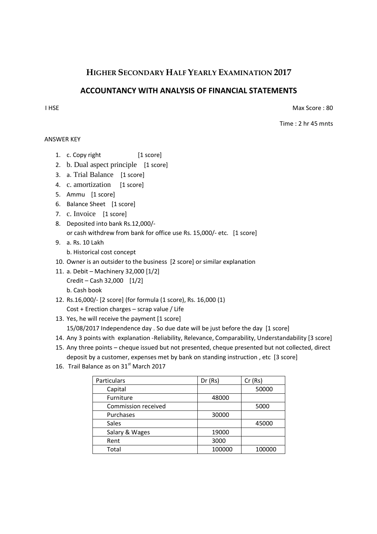# **HIGHER SECONDARY HALF YEARLY EXAMINATION 2017**

# **ACCOUNTANCY WITH ANALYSIS OF FINANCIAL STATEMENTS**

**I HSF** Max Score : 80

Time : 2 hr 45 mnts

### ANSWER KEY

- 1. c. Copy right [1 score]
- 2. b. Dual aspect principle [1 score]
- 3. a. Trial Balance [1 score]
- 4. c. amortization [1 score]
- 5. Ammu [1 score]
- 6. Balance Sheet [1 score]
- 7. c. Invoice [1 score]
- 8. Deposited into bank Rs.12,000/ or cash withdrew from bank for office use Rs. 15,000/- etc. [1 score]
- 9. a. Rs. 10 Lakh
	- b. Historical cost concept
- 10. Owner is an outsider to the business [2 score] or similar explanation
- 11. a. Debit Machinery 32,000 [1/2] Credit – Cash 32,000 [1/2] b. Cash book
- 12. Rs.16,000/- [2 score] (for formula (1 score), Rs. 16,000 (1) Cost + Erection charges – scrap value / Life
- 13. Yes, he will receive the payment [1 score] 15/08/2017 Independence day . So due date will be just before the day [1 score]
- 14. Any 3 points with explanation -Reliability, Relevance, Comparability, Understandability [3 score]
- 15. Any three points cheque issued but not presented, cheque presented but not collected, direct deposit by a customer, expenses met by bank on standing instruction , etc [3 score]
- 16. Trail Balance as on 31<sup>st</sup> March 2017

| Particulars         | Dr(Rs) | Cr(Rs) |
|---------------------|--------|--------|
| Capital             |        | 50000  |
| Furniture           | 48000  |        |
| Commission received |        | 5000   |
| Purchases           | 30000  |        |
| Sales               |        | 45000  |
| Salary & Wages      | 19000  |        |
| Rent                | 3000   |        |
| Total               | 100000 | 100000 |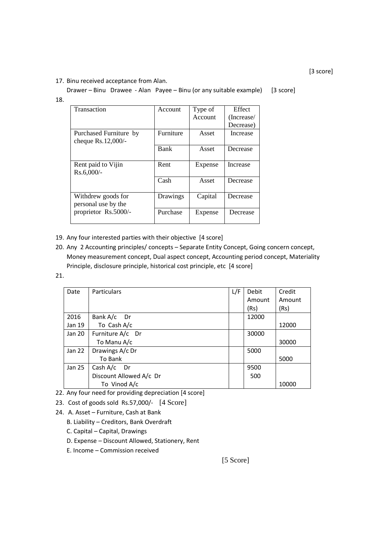#### 17. Binu received acceptance from Alan.

Drawer – Binu Drawee - Alan Payee – Binu (or any suitable example) [3 score]

18.

| Transaction                                    | Account   | Type of | Effect     |
|------------------------------------------------|-----------|---------|------------|
|                                                |           | Account | (Increase/ |
|                                                |           |         | Decrease)  |
| Purchased Furniture by<br>cheque $Rs.12,000/-$ | Furniture | Asset   | Increase   |
|                                                | Bank      | Asset   | Decrease   |
| Rent paid to Vijin<br>$Rs.6,000/-$             | Rent      | Expense | Increase   |
|                                                | Cash      | Asset   | Decrease   |
| Withdrew goods for<br>personal use by the      | Drawings  | Capital | Decrease   |
| proprietor Rs.5000/-                           | Purchase  | Expense | Decrease   |

- 19. Any four interested parties with their objective [4 score]
- 20. Any 2 Accounting principles/ concepts Separate Entity Concept, Going concern concept, Money measurement concept, Dual aspect concept, Accounting period concept, Materiality Principle, disclosure principle, historical cost principle, etc [4 score]

#### 21.

| Date   | Particulars             | L/F | Debit  | Credit |
|--------|-------------------------|-----|--------|--------|
|        |                         |     | Amount | Amount |
|        |                         |     | (Rs)   | (Rs)   |
| 2016   | Bank A/c Dr             |     | 12000  |        |
| Jan 19 | To Cash A/c             |     |        | 12000  |
| Jan 20 | Furniture A/c Dr        |     | 30000  |        |
|        | To Manu A/c             |     |        | 30000  |
| Jan 22 | Drawings A/c Dr         |     | 5000   |        |
|        | To Bank                 |     |        | 5000   |
| Jan 25 | Cash $A/c$<br>Dr D      |     | 9500   |        |
|        | Discount Allowed A/c Dr |     | 500    |        |
|        | To Vinod A/c            |     |        | 10000  |

- 22. Any four need for providing depreciation [4 score]
- 23. Cost of goods sold Rs.57,000/- [4 Score]
- 24. A. Asset Furniture, Cash at Bank
	- B. Liability Creditors, Bank Overdraft
	- C. Capital Capital, Drawings
	- D. Expense Discount Allowed, Stationery, Rent
	- E. Income Commission received

[5 Score]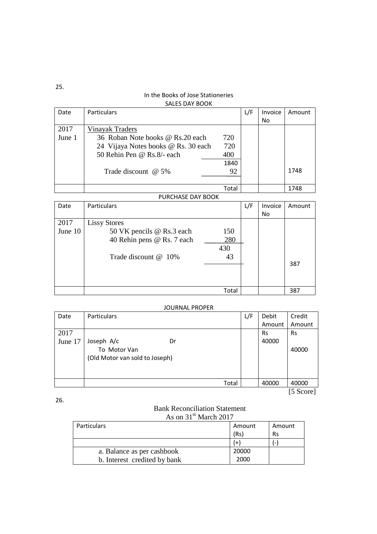## In the Books of Jose Stationeries SALES DAY BOOK

| Date   | <b>Particulars</b>                  |       | L/F | Invoice | Amount |
|--------|-------------------------------------|-------|-----|---------|--------|
|        |                                     |       |     | No      |        |
| 2017   | Vinayak Traders                     |       |     |         |        |
| June 1 | 36 Roban Note books @ Rs.20 each    | 720   |     |         |        |
|        | 24 Vijaya Notes books @ Rs. 30 each | 720   |     |         |        |
|        | 50 Rehin Pen @ Rs.8/- each          | 400   |     |         |        |
|        |                                     | 1840  |     |         |        |
|        | Trade discount @ 5%                 | 92    |     |         | 1748   |
|        |                                     |       |     |         |        |
|        |                                     | Total |     |         | 1748   |

### PURCHASE DAY BOOK

| Date    | Particulars                |       | L/F | Invoice | Amount |
|---------|----------------------------|-------|-----|---------|--------|
|         |                            |       |     | No      |        |
| 2017    | <b>Lissy Stores</b>        |       |     |         |        |
| June 10 | 50 VK pencils @ Rs.3 each  | 150   |     |         |        |
|         | 40 Rehin pens @ Rs. 7 each | 280   |     |         |        |
|         |                            | 430   |     |         |        |
|         | Trade discount @ 10%       | 43    |     |         |        |
|         |                            |       |     |         | 387    |
|         |                            |       |     |         |        |
|         |                            |       |     |         |        |
|         |                            | Total |     |         | 387    |

#### JOURNAL PROPER

| Date    | Particulars                    |       | L/F | Debit     | Credit             |
|---------|--------------------------------|-------|-----|-----------|--------------------|
|         |                                |       |     | Amount    | Amount             |
| 2017    |                                |       |     | <b>Rs</b> | <b>Rs</b>          |
| June 17 | Joseph A/c                     | Dr    |     | 40000     |                    |
|         | To Motor Van                   |       |     |           | 40000              |
|         | (Old Motor van sold to Joseph) |       |     |           |                    |
|         |                                |       |     |           |                    |
|         |                                |       |     |           |                    |
|         |                                | Total |     | 40000     | 40000              |
|         |                                |       |     |           | п.<br><i>r r</i> a |

[5 Score]

26.

## Bank Reconciliation Statement As on  $31<sup>st</sup>$  March 2017

| Particulars                  | Amount | Amount         |
|------------------------------|--------|----------------|
|                              | (Rs)   | <b>Rs</b>      |
|                              |        | $\overline{a}$ |
| a. Balance as per cashbook   | 20000  |                |
| b. Interest credited by bank | 2000   |                |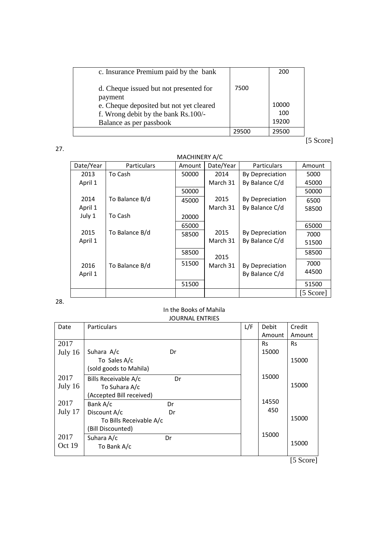| c. Insurance Premium paid by the bank   |      | 200   |
|-----------------------------------------|------|-------|
| d. Cheque issued but not presented for  | 7500 |       |
| payment                                 |      |       |
| e. Cheque deposited but not yet cleared |      | 10000 |
| f. Wrong debit by the bank Rs.100/-     |      | 100   |
| Balance as per passbook                 |      | 19200 |
|                                         |      | 29500 |

 $[5 \text{ Score}]$ 

| MACHINERY A/C |                |        |           |                    |                     |
|---------------|----------------|--------|-----------|--------------------|---------------------|
| Date/Year     | Particulars    | Amount | Date/Year | <b>Particulars</b> | Amount              |
| 2013          | To Cash        | 50000  | 2014      | By Depreciation    | 5000                |
| April 1       |                |        | March 31  | By Balance C/d     | 45000               |
|               |                | 50000  |           |                    | 50000               |
| 2014          | To Balance B/d | 45000  | 2015      | By Depreciation    | 6500                |
| April 1       |                |        | March 31  | By Balance C/d     | 58500               |
| July 1        | To Cash        | 20000  |           |                    |                     |
|               |                | 65000  |           |                    | 65000               |
| 2015          | To Balance B/d | 58500  | 2015      | By Depreciation    | 7000                |
| April 1       |                |        | March 31  | By Balance C/d     | 51500               |
|               |                | 58500  | 2015      |                    | 58500               |
| 2016          | To Balance B/d | 51500  | March 31  | By Depreciation    | 7000                |
| April 1       |                |        |           | By Balance C/d     | 44500               |
|               |                | 51500  |           |                    | 51500               |
|               |                |        |           |                    | $[5 \text{ Score}]$ |

### 28.

27.

### In the Books of Mahila JOURNAL ENTRIES

| Date      | Particulars                | L/F | Debit     | Credit    |
|-----------|----------------------------|-----|-----------|-----------|
|           |                            |     | Amount    | Amount    |
| 2017      |                            |     | <b>Rs</b> | <b>Rs</b> |
| July 16   | Suhara A/c<br>Dr           |     | 15000     |           |
|           | To Sales A/c               |     |           | 15000     |
|           | (sold goods to Mahila)     |     |           |           |
| 2017      | Bills Receivable A/c<br>Dr |     | 15000     |           |
| July $16$ | To Suhara A/c              |     |           | 15000     |
|           | (Accepted Bill received)   |     |           |           |
| 2017      | Bank A/c<br>Dr             |     | 14550     |           |
| July 17   | Discount A/c<br>Dr         |     | 450       |           |
|           | To Bills Receivable A/c    |     |           | 15000     |
|           | (Bill Discounted)          |     |           |           |
| 2017      | Suhara A/c<br>Dr           |     | 15000     |           |
| Oct 19    | To Bank A/c                |     |           | 15000     |
|           |                            |     |           | -- -      |

[5 Score]